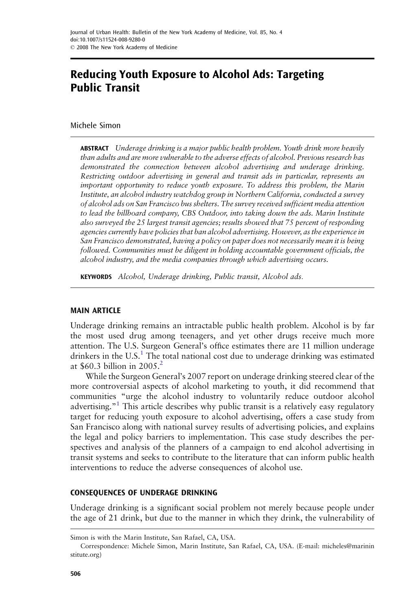# Reducing Youth Exposure to Alcohol Ads: Targeting Public Transit

Michele Simon

ABSTRACT Underage drinking is a major public health problem. Youth drink more heavily than adults and are more vulnerable to the adverse effects of alcohol. Previous research has demonstrated the connection between alcohol advertising and underage drinking. Restricting outdoor advertising in general and transit ads in particular, represents an important opportunity to reduce youth exposure. To address this problem, the Marin Institute, an alcohol industry watchdog group in Northern California, conducted a survey of alcohol ads on San Francisco bus shelters. The survey received sufficient media attention to lead the billboard company, CBS Outdoor, into taking down the ads. Marin Institute also surveyed the 25 largest transit agencies; results showed that 75 percent of responding agencies currently have policies that ban alcohol advertising. However, as the experience in San Francisco demonstrated, having a policy on paper does not necessarily mean it is being followed. Communities must be diligent in holding accountable government officials, the alcohol industry, and the media companies through which advertising occurs.

KEYWORDS Alcohol, Underage drinking, Public transit, Alcohol ads.

## MAIN ARTICLE

Underage drinking remains an intractable public health problem. Alcohol is by far the most used drug among teenagers, and yet other drugs receive much more attention. The U.S. Surgeon General's office estimates there are 11 million underage drinkers in the U.S. $<sup>1</sup>$  The total national cost due to underage drinking was estimated</sup> at \$60.3 billion in 2005[.2](#page-9-0)

While the Surgeon General's 2007 report on underage drinking steered clear of the more controversial aspects of alcohol marketing to youth, it did recommend that communities "urge the alcohol industry to voluntarily reduce outdoor alcohol advertising."<sup>[1](#page-9-0)</sup> This article describes why public transit is a relatively easy regulatory target for reducing youth exposure to alcohol advertising, offers a case study from San Francisco along with national survey results of advertising policies, and explains the legal and policy barriers to implementation. This case study describes the perspectives and analysis of the planners of a campaign to end alcohol advertising in transit systems and seeks to contribute to the literature that can inform public health interventions to reduce the adverse consequences of alcohol use.

## CONSEQUENCES OF UNDERAGE DRINKING

Underage drinking is a significant social problem not merely because people under the age of 21 drink, but due to the manner in which they drink, the vulnerability of

Simon is with the Marin Institute, San Rafael, CA, USA.

Correspondence: Michele Simon, Marin Institute, San Rafael, CA, USA. (E-mail: micheles@marinin stitute.org)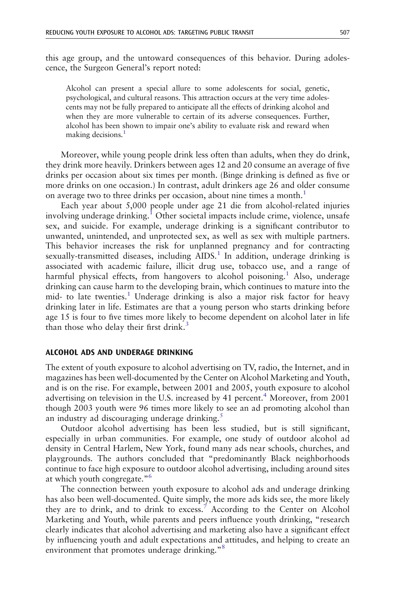this age group, and the untoward consequences of this behavior. During adolescence, the Surgeon General's report noted:

Alcohol can present a special allure to some adolescents for social, genetic, psychological, and cultural reasons. This attraction occurs at the very time adolescents may not be fully prepared to anticipate all the effects of drinking alcohol and when they are more vulnerable to certain of its adverse consequences. Further, alcohol has been shown to impair one's ability to evaluate risk and reward when making decisions.<sup>[1](#page-9-0)</sup>

Moreover, while young people drink less often than adults, when they do drink, they drink more heavily. Drinkers between ages 12 and 20 consume an average of five drinks per occasion about six times per month. (Binge drinking is defined as five or more drinks on one occasion.) In contrast, adult drinkers age 26 and older consume on average two to three drinks per occasion, about nine times a month.<sup>[1](#page-9-0)</sup>

Each year about 5,000 people under age 21 die from alcohol-related injuries involving underage drinking.<sup>[1](#page-9-0)</sup> Other societal impacts include crime, violence, unsafe sex, and suicide. For example, underage drinking is a significant contributor to unwanted, unintended, and unprotected sex, as well as sex with multiple partners. This behavior increases the risk for unplanned pregnancy and for contracting sexually-transmitted diseases, including AIDS.<sup>[1](#page-9-0)</sup> In addition, underage drinking is associated with academic failure, illicit drug use, tobacco use, and a range of harmful physical effects, from hangovers to alcohol poisoning.<sup>[1](#page-9-0)</sup> Also, underage drinking can cause harm to the developing brain, which continues to mature into the mid- to late twenties.<sup>[1](#page-9-0)</sup> Underage drinking is also a major risk factor for heavy drinking later in life. Estimates are that a young person who starts drinking before age 15 is four to five times more likely to become dependent on alcohol later in life than those who delay their first drink.<sup>[3](#page-9-0)</sup>

#### ALCOHOL ADS AND UNDERAGE DRINKING

The extent of youth exposure to alcohol advertising on TV, radio, the Internet, and in magazines has been well-documented by the Center on Alcohol Marketing and Youth, and is on the rise. For example, between 2001 and 2005, youth exposure to alcohol advertising on television in the U.S. increased by [4](#page-9-0)1 percent.<sup>4</sup> Moreover, from 2001 though 2003 youth were 96 times more likely to see an ad promoting alcohol than an industry ad discouraging underage drinking.<sup>[5](#page-9-0)</sup>

Outdoor alcohol advertising has been less studied, but is still significant, especially in urban communities. For example, one study of outdoor alcohol ad density in Central Harlem, New York, found many ads near schools, churches, and playgrounds. The authors concluded that "predominantly Black neighborhoods continue to face high exposure to outdoor alcohol advertising, including around sites at which youth congregate."[6](#page-9-0)

The connection between youth exposure to alcohol ads and underage drinking has also been well-documented. Quite simply, the more ads kids see, the more likely they are to drink, and to drink to excess.<sup>[7](#page-9-0)</sup> According to the Center on Alcohol Marketing and Youth, while parents and peers influence youth drinking, "research clearly indicates that alcohol advertising and marketing also have a significant effect by influencing youth and adult expectations and attitudes, and helping to create an environment that promotes underage drinking."<sup>[8](#page-10-0)</sup>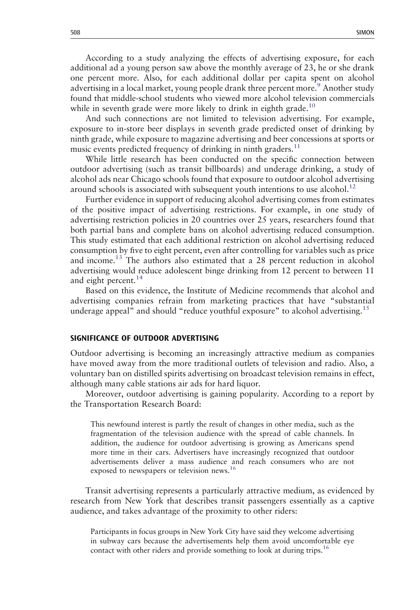According to a study analyzing the effects of advertising exposure, for each additional ad a young person saw above the monthly average of 23, he or she drank one percent more. Also, for each additional dollar per capita spent on alcohol advertising in a local market, young people drank three percent more.<sup>[9](#page-10-0)</sup> Another study found that middle-school students who viewed more alcohol television commercials while in seventh grade were more likely to drink in eighth grade.<sup>[10](#page-10-0)</sup>

And such connections are not limited to television advertising. For example, exposure to in-store beer displays in seventh grade predicted onset of drinking by ninth grade, while exposure to magazine advertising and beer concessions at sports or music events predicted frequency of drinking in ninth graders.<sup>[11](#page-10-0)</sup>

While little research has been conducted on the specific connection between outdoor advertising (such as transit billboards) and underage drinking, a study of alcohol ads near Chicago schools found that exposure to outdoor alcohol advertising around schools is associated with subsequent youth intentions to use alcohol.<sup>[12](#page-10-0)</sup>

Further evidence in support of reducing alcohol advertising comes from estimates of the positive impact of advertising restrictions. For example, in one study of advertising restriction policies in 20 countries over 25 years, researchers found that both partial bans and complete bans on alcohol advertising reduced consumption. This study estimated that each additional restriction on alcohol advertising reduced consumption by five to eight percent, even after controlling for variables such as price and income.[13](#page-10-0) The authors also estimated that a 28 percent reduction in alcohol advertising would reduce adolescent binge drinking from 12 percent to between 11 and eight percent.<sup>[14](#page-10-0)</sup>

Based on this evidence, the Institute of Medicine recommends that alcohol and advertising companies refrain from marketing practices that have "substantial underage appeal" and should "reduce youthful exposure" to alcohol advertising.[15](#page-10-0)

## SIGNIFICANCE OF OUTDOOR ADVERTISING

Outdoor advertising is becoming an increasingly attractive medium as companies have moved away from the more traditional outlets of television and radio. Also, a voluntary ban on distilled spirits advertising on broadcast television remains in effect, although many cable stations air ads for hard liquor.

Moreover, outdoor advertising is gaining popularity. According to a report by the Transportation Research Board:

This newfound interest is partly the result of changes in other media, such as the fragmentation of the television audience with the spread of cable channels. In addition, the audience for outdoor advertising is growing as Americans spend more time in their cars. Advertisers have increasingly recognized that outdoor advertisements deliver a mass audience and reach consumers who are not exposed to newspapers or television news.<sup>[16](#page-10-0)</sup>

Transit advertising represents a particularly attractive medium, as evidenced by research from New York that describes transit passengers essentially as a captive audience, and takes advantage of the proximity to other riders:

Participants in focus groups in New York City have said they welcome advertising in subway cars because the advertisements help them avoid uncomfortable eye contact with other riders and provide something to look at during trips.<sup>[16](#page-10-0)</sup>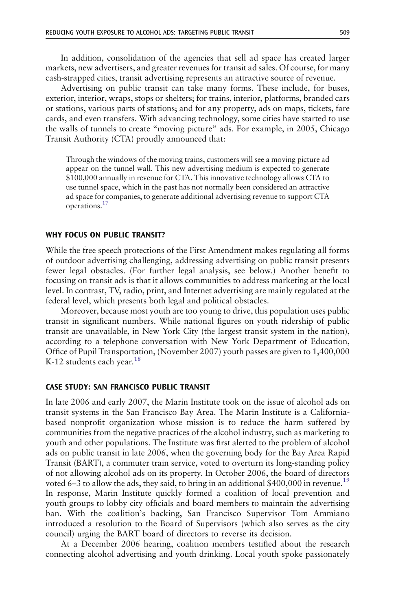In addition, consolidation of the agencies that sell ad space has created larger markets, new advertisers, and greater revenues for transit ad sales. Of course, for many cash-strapped cities, transit advertising represents an attractive source of revenue.

Advertising on public transit can take many forms. These include, for buses, exterior, interior, wraps, stops or shelters; for trains, interior, platforms, branded cars or stations, various parts of stations; and for any property, ads on maps, tickets, fare cards, and even transfers. With advancing technology, some cities have started to use the walls of tunnels to create "moving picture" ads. For example, in 2005, Chicago Transit Authority (CTA) proudly announced that:

Through the windows of the moving trains, customers will see a moving picture ad appear on the tunnel wall. This new advertising medium is expected to generate \$100,000 annually in revenue for CTA. This innovative technology allows CTA to use tunnel space, which in the past has not normally been considered an attractive ad space for companies, to generate additional advertising revenue to support CTA operations. $17$ 

### WHY FOCUS ON PUBLIC TRANSIT?

While the free speech protections of the First Amendment makes regulating all forms of outdoor advertising challenging, addressing advertising on public transit presents fewer legal obstacles. (For further legal analysis, see below.) Another benefit to focusing on transit ads is that it allows communities to address marketing at the local level. In contrast, TV, radio, print, and Internet advertising are mainly regulated at the federal level, which presents both legal and political obstacles.

Moreover, because most youth are too young to drive, this population uses public transit in significant numbers. While national figures on youth ridership of public transit are unavailable, in New York City (the largest transit system in the nation), according to a telephone conversation with New York Department of Education, Office of Pupil Transportation, (November 2007) youth passes are given to 1,400,000 K-12 students each year. $18$ 

## CASE STUDY: SAN FRANCISCO PUBLIC TRANSIT

In late 2006 and early 2007, the Marin Institute took on the issue of alcohol ads on transit systems in the San Francisco Bay Area. The Marin Institute is a Californiabased nonprofit organization whose mission is to reduce the harm suffered by communities from the negative practices of the alcohol industry, such as marketing to youth and other populations. The Institute was first alerted to the problem of alcohol ads on public transit in late 2006, when the governing body for the Bay Area Rapid Transit (BART), a commuter train service, voted to overturn its long-standing policy of not allowing alcohol ads on its property. In October 2006, the board of directors voted 6–3 to allow the ads, they said, to bring in an additional \$400,000 in revenue.<sup>[19](#page-10-0)</sup> In response, Marin Institute quickly formed a coalition of local prevention and youth groups to lobby city officials and board members to maintain the advertising ban. With the coalition's backing, San Francisco Supervisor Tom Ammiano introduced a resolution to the Board of Supervisors (which also serves as the city council) urging the BART board of directors to reverse its decision.

At a December 2006 hearing, coalition members testified about the research connecting alcohol advertising and youth drinking. Local youth spoke passionately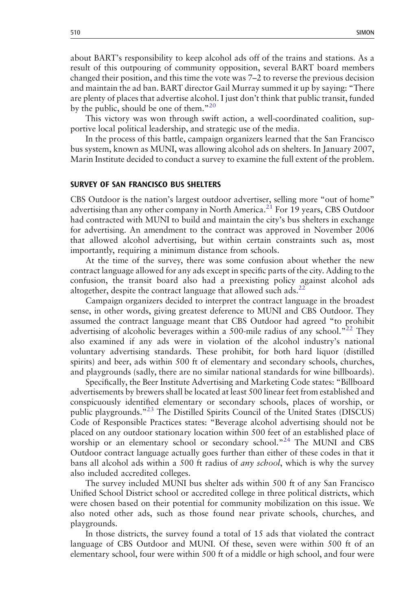about BART's responsibility to keep alcohol ads off of the trains and stations. As a result of this outpouring of community opposition, several BART board members changed their position, and this time the vote was 7–2 to reverse the previous decision and maintain the ad ban. BART director Gail Murray summed it up by saying: "There are plenty of places that advertise alcohol. I just don't think that public transit, funded by the public, should be one of them."<sup>[20](#page-10-0)</sup>

This victory was won through swift action, a well-coordinated coalition, supportive local political leadership, and strategic use of the media.

In the process of this battle, campaign organizers learned that the San Francisco bus system, known as MUNI, was allowing alcohol ads on shelters. In January 2007, Marin Institute decided to conduct a survey to examine the full extent of the problem.

#### SURVEY OF SAN FRANCISCO BUS SHELTERS

CBS Outdoor is the nation's largest outdoor advertiser, selling more "out of home" advertising than any other company in North America.<sup>[21](#page-10-0)</sup> For 19 years, CBS Outdoor had contracted with MUNI to build and maintain the city's bus shelters in exchange for advertising. An amendment to the contract was approved in November 2006 that allowed alcohol advertising, but within certain constraints such as, most importantly, requiring a minimum distance from schools.

At the time of the survey, there was some confusion about whether the new contract language allowed for any ads except in specific parts of the city. Adding to the confusion, the transit board also had a preexisting policy against alcohol ads altogether, despite the contract language that allowed such ads. $^{22}$  $^{22}$  $^{22}$ 

Campaign organizers decided to interpret the contract language in the broadest sense, in other words, giving greatest deference to MUNI and CBS Outdoor. They assumed the contract language meant that CBS Outdoor had agreed "to prohibit advertising of alcoholic beverages within a 500-mile radius of any school."<sup>[22](#page-10-0)</sup> They also examined if any ads were in violation of the alcohol industry's national voluntary advertising standards. These prohibit, for both hard liquor (distilled spirits) and beer, ads within 500 ft of elementary and secondary schools, churches, and playgrounds (sadly, there are no similar national standards for wine billboards).

Specifically, the Beer Institute Advertising and Marketing Code states: "Billboard advertisements by brewers shall be located at least 500 linear feet from established and conspicuously identified elementary or secondary schools, places of worship, or public playgrounds."[23](#page-10-0) The Distilled Spirits Council of the United States (DISCUS) Code of Responsible Practices states: "Beverage alcohol advertising should not be placed on any outdoor stationary location within 500 feet of an established place of worship or an elementary school or secondary school."<sup>[24](#page-10-0)</sup> The MUNI and CBS Outdoor contract language actually goes further than either of these codes in that it bans all alcohol ads within a 500 ft radius of any school, which is why the survey also included accredited colleges.

The survey included MUNI bus shelter ads within 500 ft of any San Francisco Unified School District school or accredited college in three political districts, which were chosen based on their potential for community mobilization on this issue. We also noted other ads, such as those found near private schools, churches, and playgrounds.

In those districts, the survey found a total of 15 ads that violated the contract language of CBS Outdoor and MUNI. Of these, seven were within 500 ft of an elementary school, four were within 500 ft of a middle or high school, and four were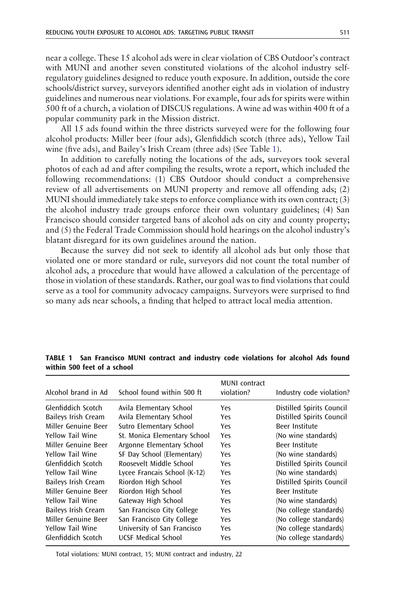near a college. These 15 alcohol ads were in clear violation of CBS Outdoor's contract with MUNI and another seven constituted violations of the alcohol industry selfregulatory guidelines designed to reduce youth exposure. In addition, outside the core schools/district survey, surveyors identified another eight ads in violation of industry guidelines and numerous near violations. For example, four ads for spirits were within 500 ft of a church, a violation of DISCUS regulations. Awine ad was within 400 ft of a popular community park in the Mission district.

All 15 ads found within the three districts surveyed were for the following four alcohol products: Miller beer (four ads), Glenfiddich scotch (three ads), Yellow Tail wine (five ads), and Bailey's Irish Cream (three ads) (See Table 1).

In addition to carefully noting the locations of the ads, surveyors took several photos of each ad and after compiling the results, wrote a report, which included the following recommendations: (1) CBS Outdoor should conduct a comprehensive review of all advertisements on MUNI property and remove all offending ads; (2) MUNI should immediately take steps to enforce compliance with its own contract; (3) the alcohol industry trade groups enforce their own voluntary guidelines; (4) San Francisco should consider targeted bans of alcohol ads on city and county property; and (5) the Federal Trade Commission should hold hearings on the alcohol industry's blatant disregard for its own guidelines around the nation.

Because the survey did not seek to identify all alcohol ads but only those that violated one or more standard or rule, surveyors did not count the total number of alcohol ads, a procedure that would have allowed a calculation of the percentage of those in violation of these standards. Rather, our goal was to find violations that could serve as a tool for community advocacy campaigns. Surveyors were surprised to find so many ads near schools, a finding that helped to attract local media attention.

| Alcohol brand in Ad        | School found within 500 ft   | MUNI contract<br>violation? | Industry code violation?  |
|----------------------------|------------------------------|-----------------------------|---------------------------|
| Glenfiddich Scotch         | Avila Elementary School      | Yes.                        | Distilled Spirits Council |
| Baileys Irish Cream        | Avila Elementary School      | <b>Yes</b>                  | Distilled Spirits Council |
| Miller Genuine Beer        | Sutro Elementary School      | <b>Yes</b>                  | Beer Institute            |
| <b>Yellow Tail Wine</b>    | St. Monica Elementary School | Yes                         | (No wine standards)       |
| Miller Genuine Beer        | Argonne Elementary School    | Yes                         | Beer Institute            |
| <b>Yellow Tail Wine</b>    | SF Day School (Elementary)   | Yes                         | (No wine standards)       |
| Glenfiddich Scotch         | Roosevelt Middle School      | Yes                         | Distilled Spirits Council |
| <b>Yellow Tail Wine</b>    | Lycee Francais School (K-12) | <b>Yes</b>                  | (No wine standards)       |
| <b>Baileys Irish Cream</b> | Riordon High School          | <b>Yes</b>                  | Distilled Spirits Council |
| Miller Genuine Beer        | Riordon High School          | Yes                         | Beer Institute            |
| <b>Yellow Tail Wine</b>    | Gateway High School          | Yes                         | (No wine standards)       |
| Baileys Irish Cream        | San Francisco City College   | Yes                         | (No college standards)    |
| Miller Genuine Beer        | San Francisco City College   | Yes                         | (No college standards)    |
| <b>Yellow Tail Wine</b>    | University of San Francisco  | Yes                         | (No college standards)    |
| Glenfiddich Scotch         | <b>UCSF Medical School</b>   | Yes                         | (No college standards)    |

#### TABLE 1 San Francisco MUNI contract and industry code violations for alcohol Ads found within 500 feet of a school

Total violations: MUNI contract, 15; MUNI contract and industry, 22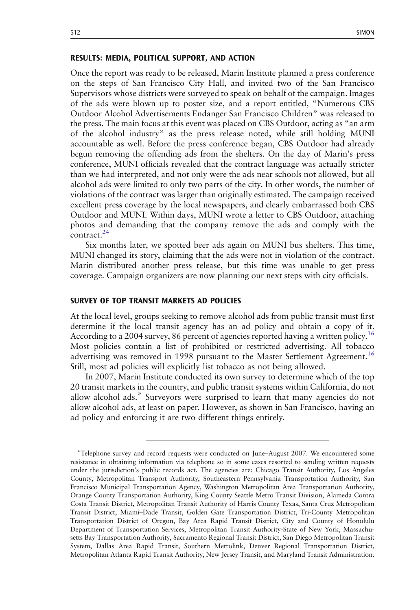### RESULTS: MEDIA, POLITICAL SUPPORT, AND ACTION

Once the report was ready to be released, Marin Institute planned a press conference on the steps of San Francisco City Hall, and invited two of the San Francisco Supervisors whose districts were surveyed to speak on behalf of the campaign. Images of the ads were blown up to poster size, and a report entitled, "Numerous CBS Outdoor Alcohol Advertisements Endanger San Francisco Children" was released to the press. The main focus at this event was placed on CBS Outdoor, acting as "an arm of the alcohol industry" as the press release noted, while still holding MUNI accountable as well. Before the press conference began, CBS Outdoor had already begun removing the offending ads from the shelters. On the day of Marin's press conference, MUNI officials revealed that the contract language was actually stricter than we had interpreted, and not only were the ads near schools not allowed, but all alcohol ads were limited to only two parts of the city. In other words, the number of violations of the contract was larger than originally estimated. The campaign received excellent press coverage by the local newspapers, and clearly embarrassed both CBS Outdoor and MUNI. Within days, MUNI wrote a letter to CBS Outdoor, attaching photos and demanding that the company remove the ads and comply with the contract.[24](#page-10-0)

Six months later, we spotted beer ads again on MUNI bus shelters. This time, MUNI changed its story, claiming that the ads were not in violation of the contract. Marin distributed another press release, but this time was unable to get press coverage. Campaign organizers are now planning our next steps with city officials.

## SURVEY OF TOP TRANSIT MARKETS AD POLICIES

At the local level, groups seeking to remove alcohol ads from public transit must first determine if the local transit agency has an ad policy and obtain a copy of it. According to a 2004 survey, 86 percent of agencies reported having a written policy.<sup>[16](#page-10-0)</sup> Most policies contain a list of prohibited or restricted advertising. All tobacco advertising was removed in 1998 pursuant to the Master Settlement Agreement.<sup>[16](#page-10-0)</sup> Still, most ad policies will explicitly list tobacco as not being allowed.

In 2007, Marin Institute conducted its own survey to determine which of the top 20 transit markets in the country, and public transit systems within California, do not allow alcohol ads.\* Surveyors were surprised to learn that many agencies do not allow alcohol ads, at least on paper. However, as shown in San Francisco, having an ad policy and enforcing it are two different things entirely.

<sup>\*</sup>Telephone survey and record requests were conducted on June–August 2007. We encountered some resistance in obtaining information via telephone so in some cases resorted to sending written requests under the jurisdiction's public records act. The agencies are: Chicago Transit Authority, Los Angeles County, Metropolitan Transport Authority, Southeastern Pennsylvania Transportation Authority, San Francisco Municipal Transportation Agency, Washington Metropolitan Area Transportation Authority, Orange County Transportation Authority, King County Seattle Metro Transit Division, Alameda Contra Costa Transit District, Metropolitan Transit Authority of Harris County Texas, Santa Cruz Metropolitan Transit District, Miami–Dade Transit, Golden Gate Transportation District, Tri-County Metropolitan Transportation District of Oregon, Bay Area Rapid Transit District, City and County of Honolulu Department of Transportation Services, Metropolitan Transit Authority-State of New York, Massachusetts Bay Transportation Authority, Sacramento Regional Transit District, San Diego Metropolitan Transit System, Dallas Area Rapid Transit, Southern Metrolink, Denver Regional Transportation District, Metropolitan Atlanta Rapid Transit Authority, New Jersey Transit, and Maryland Transit Administration.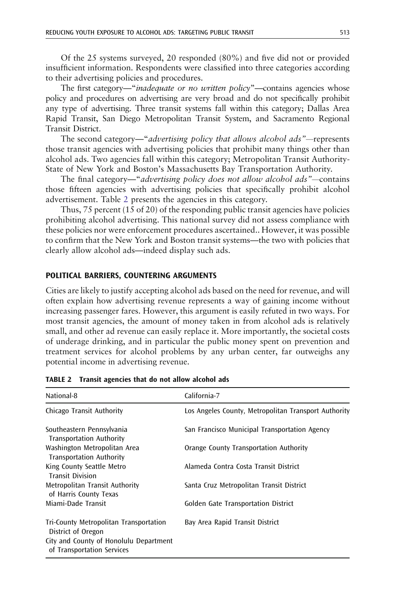Of the 25 systems surveyed, 20 responded (80%) and five did not or provided insufficient information. Respondents were classified into three categories according to their advertising policies and procedures.

The first category—"*inadequate or no written policy*"—contains agencies whose policy and procedures on advertising are very broad and do not specifically prohibit any type of advertising. Three transit systems fall within this category; Dallas Area Rapid Transit, San Diego Metropolitan Transit System, and Sacramento Regional Transit District.

The second category—"advertising policy that allows alcohol ads"—represents those transit agencies with advertising policies that prohibit many things other than alcohol ads. Two agencies fall within this category; Metropolitan Transit Authority-State of New York and Boston's Massachusetts Bay Transportation Authority.

The final category—"advertising policy does not allow alcohol ads"—contains those fifteen agencies with advertising policies that specifically prohibit alcohol advertisement. Table 2 presents the agencies in this category.

Thus, 75 percent (15 of 20) of the responding public transit agencies have policies prohibiting alcohol advertising. This national survey did not assess compliance with these policies nor were enforcement procedures ascertained.. However, it was possible to confirm that the New York and Boston transit systems—the two with policies that clearly allow alcohol ads—indeed display such ads.

## POLITICAL BARRIERS, COUNTERING ARGUMENTS

Cities are likely to justify accepting alcohol ads based on the need for revenue, and will often explain how advertising revenue represents a way of gaining income without increasing passenger fares. However, this argument is easily refuted in two ways. For most transit agencies, the amount of money taken in from alcohol ads is relatively small, and other ad revenue can easily replace it. More importantly, the societal costs of underage drinking, and in particular the public money spent on prevention and treatment services for alcohol problems by any urban center, far outweighs any potential income in advertising revenue.

| National-8                                                           | California-7                                         |  |  |
|----------------------------------------------------------------------|------------------------------------------------------|--|--|
| Chicago Transit Authority                                            | Los Angeles County, Metropolitan Transport Authority |  |  |
| Southeastern Pennsylvania<br><b>Transportation Authority</b>         | San Francisco Municipal Transportation Agency        |  |  |
| Washington Metropolitan Area<br><b>Transportation Authority</b>      | Orange County Transportation Authority               |  |  |
| King County Seattle Metro<br><b>Transit Division</b>                 | Alameda Contra Costa Transit District                |  |  |
| Metropolitan Transit Authority<br>of Harris County Texas             | Santa Cruz Metropolitan Transit District             |  |  |
| Miami-Dade Transit                                                   | Golden Gate Transportation District                  |  |  |
| Tri-County Metropolitan Transportation<br>District of Oregon         | Bay Area Rapid Transit District                      |  |  |
| City and County of Honolulu Department<br>of Transportation Services |                                                      |  |  |

|  | TABLE 2 Transit agencies that do not allow alcohol ads |  |  |  |  |
|--|--------------------------------------------------------|--|--|--|--|
|--|--------------------------------------------------------|--|--|--|--|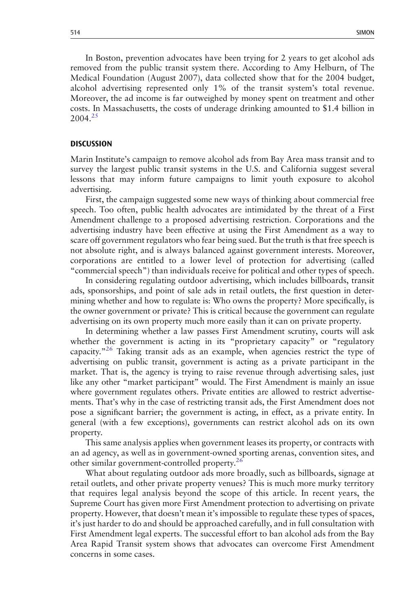In Boston, prevention advocates have been trying for 2 years to get alcohol ads removed from the public transit system there. According to Amy Helburn, of The Medical Foundation (August 2007), data collected show that for the 2004 budget, alcohol advertising represented only 1% of the transit system's total revenue. Moreover, the ad income is far outweighed by money spent on treatment and other costs. In Massachusetts, the costs of underage drinking amounted to \$1.4 billion in  $2004.<sup>25</sup>$  $2004.<sup>25</sup>$  $2004.<sup>25</sup>$ 

## **DISCUSSION**

Marin Institute's campaign to remove alcohol ads from Bay Area mass transit and to survey the largest public transit systems in the U.S. and California suggest several lessons that may inform future campaigns to limit youth exposure to alcohol advertising.

First, the campaign suggested some new ways of thinking about commercial free speech. Too often, public health advocates are intimidated by the threat of a First Amendment challenge to a proposed advertising restriction. Corporations and the advertising industry have been effective at using the First Amendment as a way to scare off government regulators who fear being sued. But the truth is that free speech is not absolute right, and is always balanced against government interests. Moreover, corporations are entitled to a lower level of protection for advertising (called "commercial speech") than individuals receive for political and other types of speech.

In considering regulating outdoor advertising, which includes billboards, transit ads, sponsorships, and point of sale ads in retail outlets, the first question in determining whether and how to regulate is: Who owns the property? More specifically, is the owner government or private? This is critical because the government can regulate advertising on its own property much more easily than it can on private property.

In determining whether a law passes First Amendment scrutiny, courts will ask whether the government is acting in its "proprietary capacity" or "regulatory capacity."[26](#page-10-0) Taking transit ads as an example, when agencies restrict the type of advertising on public transit, government is acting as a private participant in the market. That is, the agency is trying to raise revenue through advertising sales, just like any other "market participant" would. The First Amendment is mainly an issue where government regulates others. Private entities are allowed to restrict advertisements. That's why in the case of restricting transit ads, the First Amendment does not pose a significant barrier; the government is acting, in effect, as a private entity. In general (with a few exceptions), governments can restrict alcohol ads on its own property.

This same analysis applies when government leases its property, or contracts with an ad agency, as well as in government-owned sporting arenas, convention sites, and other similar government-controlled property.<sup>[26](#page-10-0)</sup>

What about regulating outdoor ads more broadly, such as billboards, signage at retail outlets, and other private property venues? This is much more murky territory that requires legal analysis beyond the scope of this article. In recent years, the Supreme Court has given more First Amendment protection to advertising on private property. However, that doesn't mean it's impossible to regulate these types of spaces, it's just harder to do and should be approached carefully, and in full consultation with First Amendment legal experts. The successful effort to ban alcohol ads from the Bay Area Rapid Transit system shows that advocates can overcome First Amendment concerns in some cases.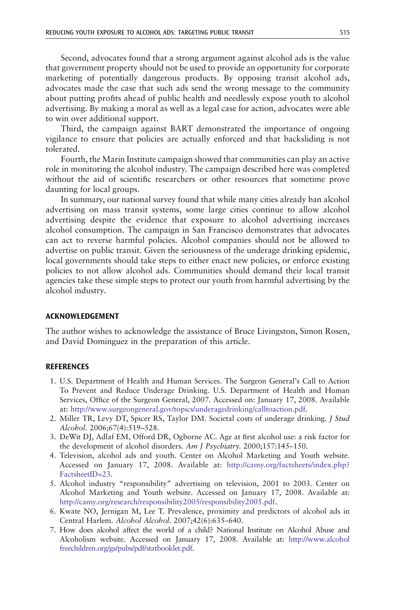<span id="page-9-0"></span>Second, advocates found that a strong argument against alcohol ads is the value that government property should not be used to provide an opportunity for corporate marketing of potentially dangerous products. By opposing transit alcohol ads, advocates made the case that such ads send the wrong message to the community about putting profits ahead of public health and needlessly expose youth to alcohol advertising. By making a moral as well as a legal case for action, advocates were able to win over additional support.

Third, the campaign against BART demonstrated the importance of ongoing vigilance to ensure that policies are actually enforced and that backsliding is not tolerated.

Fourth, the Marin Institute campaign showed that communities can play an active role in monitoring the alcohol industry. The campaign described here was completed without the aid of scientific researchers or other resources that sometime prove daunting for local groups.

In summary, our national survey found that while many cities already ban alcohol advertising on mass transit systems, some large cities continue to allow alcohol advertising despite the evidence that exposure to alcohol advertising increases alcohol consumption. The campaign in San Francisco demonstrates that advocates can act to reverse harmful policies. Alcohol companies should not be allowed to advertise on public transit. Given the seriousness of the underage drinking epidemic, local governments should take steps to either enact new policies, or enforce existing policies to not allow alcohol ads. Communities should demand their local transit agencies take these simple steps to protect our youth from harmful advertising by the alcohol industry.

## ACKNOWLEDGEMENT

The author wishes to acknowledge the assistance of Bruce Livingston, Simon Rosen, and David Dominguez in the preparation of this article.

## **REFERENCES**

- 1. U.S. Department of Health and Human Services. The Surgeon General's Call to Action To Prevent and Reduce Underage Drinking. U.S. Department of Health and Human Services, Office of the Surgeon General, 2007. Accessed on: January 17, 2008. Available at: <http://www.surgeongeneral.gov/topics/underagedrinking/calltoaction.pdf>.
- 2. Miller TR, Levy DT, Spicer RS, Taylor DM. Societal costs of underage drinking. J Stud Alcohol. 2006;67(4):519–528.
- 3. DeWit DJ, Adlaf EM, Offord DR, Ogborne AC. Age at first alcohol use: a risk factor for the development of alcohol disorders. Am J Psychiatry. 2000;157:145–150.
- 4. Television, alcohol ads and youth. Center on Alcohol Marketing and Youth website. Accessed on January 17, 2008. Available at: [http://camy.org/factsheets/index.php?](http://camy.org/factsheets/index.php?FactsheetID=23) [FactsheetID=23](http://camy.org/factsheets/index.php?FactsheetID=23).
- 5. Alcohol industry "responsibility" advertising on television, 2001 to 2003. Center on Alcohol Marketing and Youth website. Accessed on January 17, 2008. Available at: <http://camy.org/research/responsibility2005/responsibility2005.pdf>.
- 6. Kwate NO, Jernigan M, Lee T. Prevalence, proximity and predictors of alcohol ads in Central Harlem. Alcohol Alcohol. 2007;42(6):635–640.
- 7. How does alcohol affect the world of a child? National Institute on Alcohol Abuse and Alcoholism website. Accessed on January 17, 2008. Available at: [http://www.alcohol](http://www.alcoholfreechildren.org/gs/pubs/pdf/statbooklet.pdf) [freechildren.org/gs/pubs/pdf/statbooklet.pdf.](http://www.alcoholfreechildren.org/gs/pubs/pdf/statbooklet.pdf)